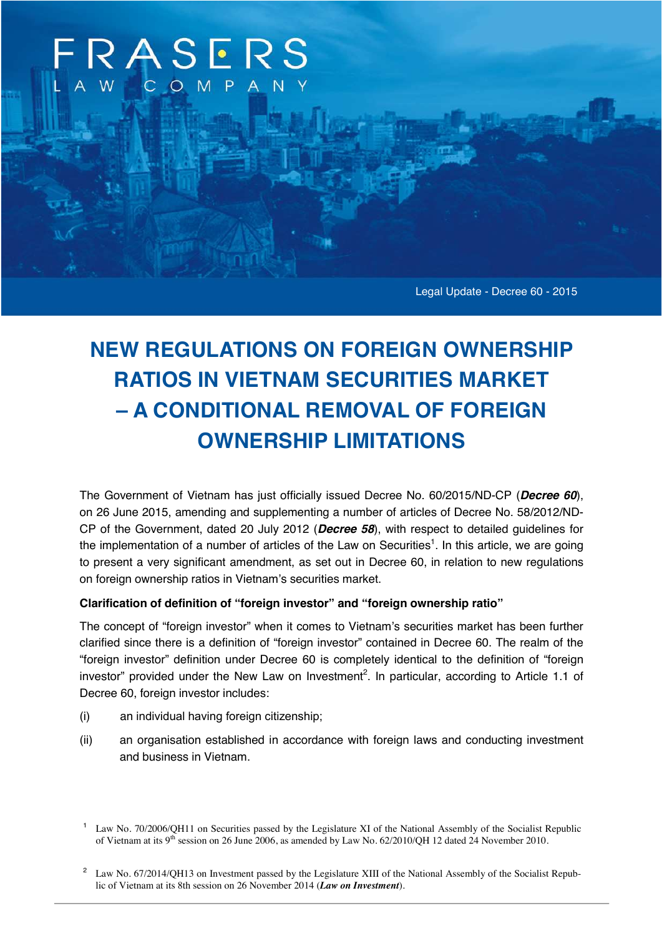# **RASERS**

Legal Update - Decree 60 - 2015

# **NEW REGULATIONS ON FOREIGN OWNERSHIP RATIOS IN VIETNAM SECURITIES MARKET – A CONDITIONAL REMOVAL OF FOREIGN OWNERSHIP LIMITATIONS**

The Government of Vietnam has just officially issued Decree No. 60/2015/ND-CP (*Decree 60*), on 26 June 2015, amending and supplementing a number of articles of Decree No. 58/2012/ND-CP of the Government, dated 20 July 2012 (*Decree 58*), with respect to detailed guidelines for the implementation of a number of articles of the Law on Securities<sup>1</sup>. In this article, we are going to present a very significant amendment, as set out in Decree 60, in relation to new regulations on foreign ownership ratios in Vietnam's securities market.

# **Clarification of definition of "foreign investor" and "foreign ownership ratio"**

The concept of "foreign investor" when it comes to Vietnam's securities market has been further clarified since there is a definition of "foreign investor" contained in Decree 60. The realm of the "foreign investor" definition under Decree 60 is completely identical to the definition of "foreign investor" provided under the New Law on Investment<sup>2</sup>. In particular, according to Article 1.1 of Decree 60, foreign investor includes:

- (i) an individual having foreign citizenship;
- (ii) an organisation established in accordance with foreign laws and conducting investment and business in Vietnam.

<sup>&</sup>lt;sup>1</sup> Law No. 70/2006/QH11 on Securities passed by the Legislature XI of the National Assembly of the Socialist Republic of Vietnam at its 9<sup>th</sup> session on 26 June 2006, as amended by Law No. 62/2010/QH 12 dated 24 November 2010.

<sup>&</sup>lt;sup>2</sup> Law No. 67/2014/OH13 on Investment passed by the Legislature XIII of the National Assembly of the Socialist Republic of Vietnam at its 8th session on 26 November 2014 (*Law on Investment*).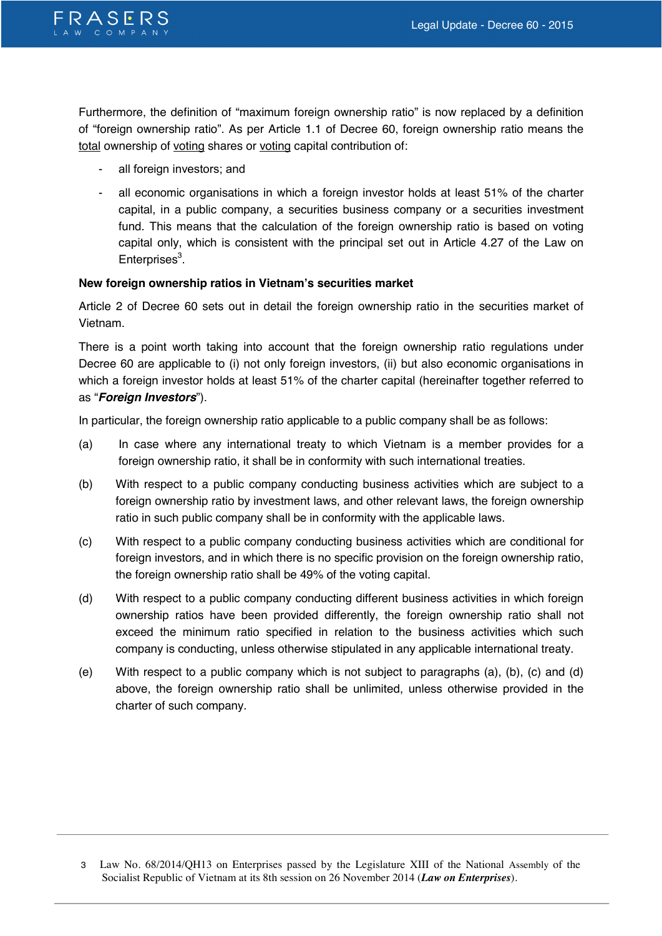

Furthermore, the definition of "maximum foreign ownership ratio" is now replaced by a definition of "foreign ownership ratio". As per Article 1.1 of Decree 60, foreign ownership ratio means the total ownership of voting shares or voting capital contribution of:

- all foreign investors; and
- all economic organisations in which a foreign investor holds at least 51% of the charter capital, in a public company, a securities business company or a securities investment fund. This means that the calculation of the foreign ownership ratio is based on voting capital only, which is consistent with the principal set out in Article 4.27 of the Law on Enterprises<sup>3</sup>.

# **New foreign ownership ratios in Vietnam's securities market**

Article 2 of Decree 60 sets out in detail the foreign ownership ratio in the securities market of Vietnam.

There is a point worth taking into account that the foreign ownership ratio regulations under Decree 60 are applicable to (i) not only foreign investors, (ii) but also economic organisations in which a foreign investor holds at least 51% of the charter capital (hereinafter together referred to as "*Foreign Investors*").

In particular, the foreign ownership ratio applicable to a public company shall be as follows:

- (a) In case where any international treaty to which Vietnam is a member provides for a foreign ownership ratio, it shall be in conformity with such international treaties.
- (b) With respect to a public company conducting business activities which are subject to a foreign ownership ratio by investment laws, and other relevant laws, the foreign ownership ratio in such public company shall be in conformity with the applicable laws.
- (c) With respect to a public company conducting business activities which are conditional for foreign investors, and in which there is no specific provision on the foreign ownership ratio, the foreign ownership ratio shall be 49% of the voting capital.
- (d) With respect to a public company conducting different business activities in which foreign ownership ratios have been provided differently, the foreign ownership ratio shall not exceed the minimum ratio specified in relation to the business activities which such company is conducting, unless otherwise stipulated in any applicable international treaty.
- (e) With respect to a public company which is not subject to paragraphs (a), (b), (c) and (d) above, the foreign ownership ratio shall be unlimited, unless otherwise provided in the charter of such company.

<sup>3</sup> Law No. 68/2014/QH13 on Enterprises passed by the Legislature XIII of the National Assembly of the Socialist Republic of Vietnam at its 8th session on 26 November 2014 (*Law on Enterprises*).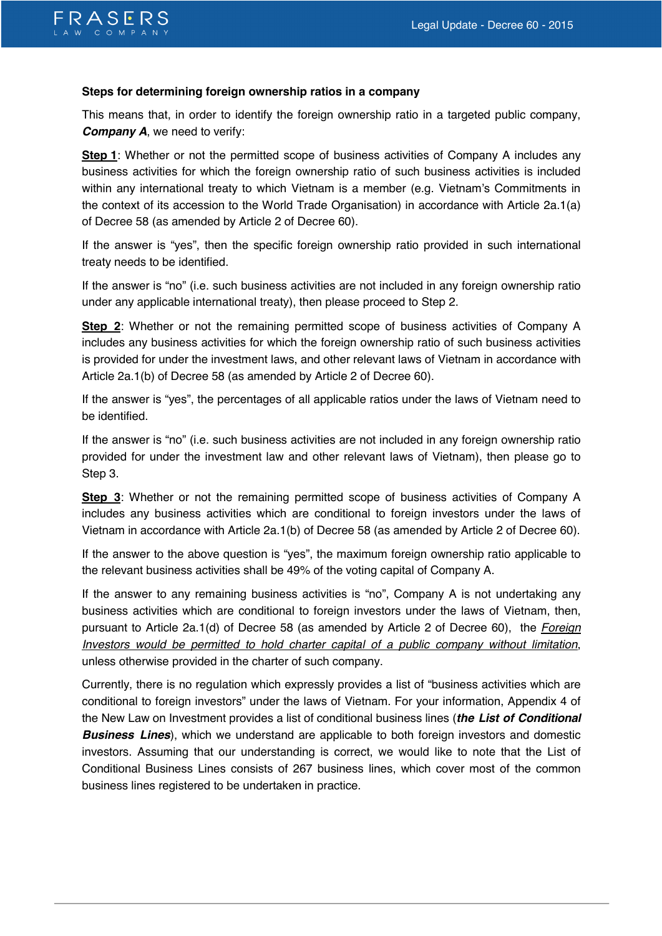

## **Steps for determining foreign ownership ratios in a company**

This means that, in order to identify the foreign ownership ratio in a targeted public company, *Company A*, we need to verify:

**Step 1**: Whether or not the permitted scope of business activities of Company A includes any business activities for which the foreign ownership ratio of such business activities is included within any international treaty to which Vietnam is a member (e.g. Vietnam's Commitments in the context of its accession to the World Trade Organisation) in accordance with Article 2a.1(a) of Decree 58 (as amended by Article 2 of Decree 60).

If the answer is "yes", then the specific foreign ownership ratio provided in such international treaty needs to be identified.

If the answer is "no" (i.e. such business activities are not included in any foreign ownership ratio under any applicable international treaty), then please proceed to Step 2.

**Step 2**: Whether or not the remaining permitted scope of business activities of Company A includes any business activities for which the foreign ownership ratio of such business activities is provided for under the investment laws, and other relevant laws of Vietnam in accordance with Article 2a.1(b) of Decree 58 (as amended by Article 2 of Decree 60).

If the answer is "yes", the percentages of all applicable ratios under the laws of Vietnam need to be identified.

If the answer is "no" (i.e. such business activities are not included in any foreign ownership ratio provided for under the investment law and other relevant laws of Vietnam), then please go to Step 3.

**Step 3**: Whether or not the remaining permitted scope of business activities of Company A includes any business activities which are conditional to foreign investors under the laws of Vietnam in accordance with Article 2a.1(b) of Decree 58 (as amended by Article 2 of Decree 60).

If the answer to the above question is "yes", the maximum foreign ownership ratio applicable to the relevant business activities shall be 49% of the voting capital of Company A.

If the answer to any remaining business activities is "no", Company A is not undertaking any business activities which are conditional to foreign investors under the laws of Vietnam, then, pursuant to Article 2a.1(d) of Decree 58 (as amended by Article 2 of Decree 60), the *Foreign Investors would be permitted to hold charter capital of a public company without limitation*, unless otherwise provided in the charter of such company.

Currently, there is no regulation which expressly provides a list of "business activities which are conditional to foreign investors" under the laws of Vietnam. For your information, Appendix 4 of the New Law on Investment provides a list of conditional business lines (*the List of Conditional*  **Business Lines**), which we understand are applicable to both foreign investors and domestic investors. Assuming that our understanding is correct, we would like to note that the List of Conditional Business Lines consists of 267 business lines, which cover most of the common business lines registered to be undertaken in practice.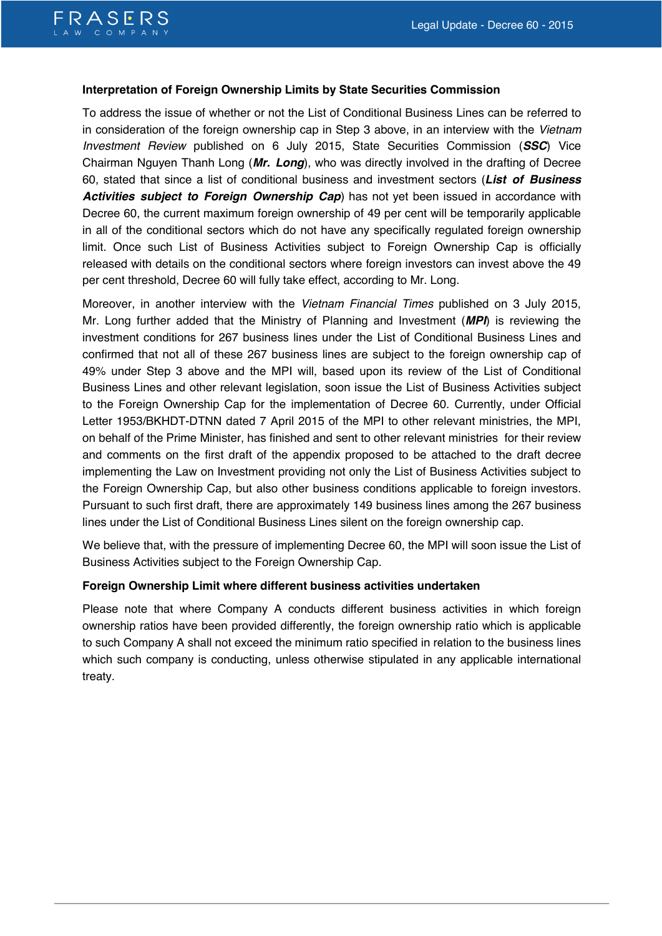

#### **Interpretation of Foreign Ownership Limits by State Securities Commission**

To address the issue of whether or not the List of Conditional Business Lines can be referred to in consideration of the foreign ownership cap in Step 3 above, in an interview with the *Vietnam Investment Review* published on 6 July 2015, State Securities Commission (*SSC*) Vice Chairman Nguyen Thanh Long (*Mr. Long*), who was directly involved in the drafting of Decree 60, stated that since a list of conditional business and investment sectors (*List of Business*  **Activities subject to Foreign Ownership Cap**) has not yet been issued in accordance with Decree 60, the current maximum foreign ownership of 49 per cent will be temporarily applicable in all of the conditional sectors which do not have any specifically regulated foreign ownership limit. Once such List of Business Activities subject to Foreign Ownership Cap is officially released with details on the conditional sectors where foreign investors can invest above the 49 per cent threshold, Decree 60 will fully take effect, according to Mr. Long.

Moreover, in another interview with the *Vietnam Financial Times* published on 3 July 2015, Mr. Long further added that the Ministry of Planning and Investment (*MPI*) is reviewing the investment conditions for 267 business lines under the List of Conditional Business Lines and confirmed that not all of these 267 business lines are subject to the foreign ownership cap of 49% under Step 3 above and the MPI will, based upon its review of the List of Conditional Business Lines and other relevant legislation, soon issue the List of Business Activities subject to the Foreign Ownership Cap for the implementation of Decree 60. Currently, under Official Letter 1953/BKHDT-DTNN dated 7 April 2015 of the MPI to other relevant ministries, the MPI, on behalf of the Prime Minister, has finished and sent to other relevant ministries for their review and comments on the first draft of the appendix proposed to be attached to the draft decree implementing the Law on Investment providing not only the List of Business Activities subject to the Foreign Ownership Cap, but also other business conditions applicable to foreign investors. Pursuant to such first draft, there are approximately 149 business lines among the 267 business lines under the List of Conditional Business Lines silent on the foreign ownership cap.

We believe that, with the pressure of implementing Decree 60, the MPI will soon issue the List of Business Activities subject to the Foreign Ownership Cap.

#### **Foreign Ownership Limit where different business activities undertaken**

Please note that where Company A conducts different business activities in which foreign ownership ratios have been provided differently, the foreign ownership ratio which is applicable to such Company A shall not exceed the minimum ratio specified in relation to the business lines which such company is conducting, unless otherwise stipulated in any applicable international treaty.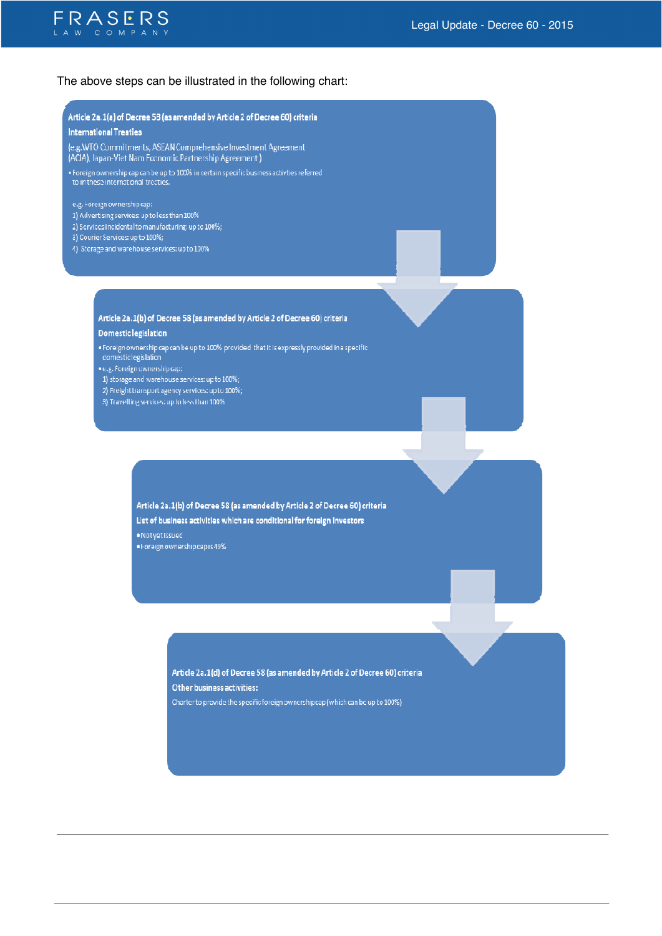

#### The above steps can be illustrated in the following chart:

#### Article 2a. 1(a) of Decree 58 (as amended by Article 2 of Decree 60) criteria **International Treaties**

(e.g.WTO Commitments, ASEAN Comprehensive Investment Agreement<br>(ACIA), Japan-Viet Nam Economic Partnership Agreement )

• Foreign ownership cap can be up to 100% in certain specific business activities referred<br>to in these international treaties.

### e.g. Foreign ownership cap:

- 1) Advertising services: up to less than 100%
- 2) Services incidental to manufacturing: up to 100%;
- 3) Courier Services: up to 100%;
- 4) Storage and warehouse services: up to 100%

#### Article 2a. 1(b) of Decree 58 (as amended by Article 2 of Decree 60) criteria

#### **Domestic legislation**

- $\bullet$  Foreign ownership cap can be up to 100% provided that it is expressly provided in a specific domestic legislation
- 
- e.g. Foreign ownership cap:<br>-1) storage and warehouse services: up to 100%;
- 2) Freighttransport agency services: up to 100%;
- 3) Travelling services: up to less than 100%

Article 2a.1(b) of Decree 58 (as amended by Article 2 of Decree 60) criteria List of business activities which are conditional for foreign investors . Not vet issued · Foreign ownership cap is 49%

> Article 2a.1(d) of Decree 58 (as amended by Article 2 of Decree 60) criteria Other business activities: Charter to provide the specific foreign ownershipcap (which can be up to 100%)